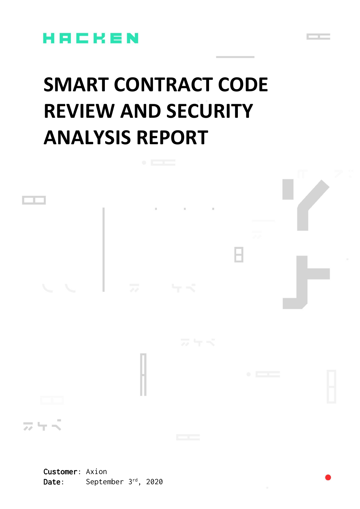

# **SMART CONTRACT CODE REVIEW AND SECURITY ANALYSIS REPORT**

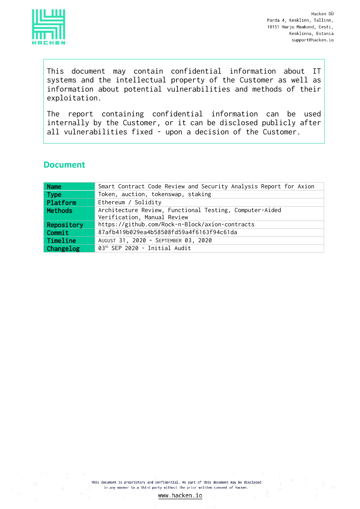

This document may contain confidential information about IT systems and the intellectual property of the Customer as well as information about potential vulnerabilities and methods of their exploitation.

The report containing confidential information can be used internally by the Customer, or it can be disclosed publicly after all vulnerabilities fixed - upon a decision of the Customer.

## **Document**

| <b>Name</b>      | Smart Contract Code Review and Security Analysis Report for Axion                      |  |
|------------------|----------------------------------------------------------------------------------------|--|
| <b>Type</b>      | Token, auction, tokenswap, staking                                                     |  |
| Platform         | Ethereum / Solidity                                                                    |  |
| <b>Methods</b>   | Architecture Review, Functional Testing, Computer-Aided<br>Verification, Manual Review |  |
| Repository       | https://github.com/Rock-n-Block/axion-contracts                                        |  |
| Commit           | 87afb419b029ea4b58508fd59a4f6163f94c61da                                               |  |
| Timeline         | AUGUST 31, 2020 - SEPTEMBER 03, 2020                                                   |  |
| <b>Changelog</b> | 03RD SEP 2020 - Initial Audit                                                          |  |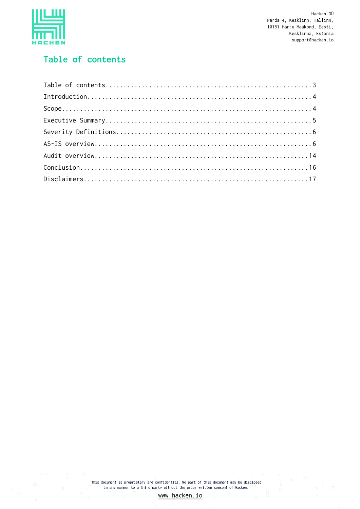

# <span id="page-2-0"></span>Table of contents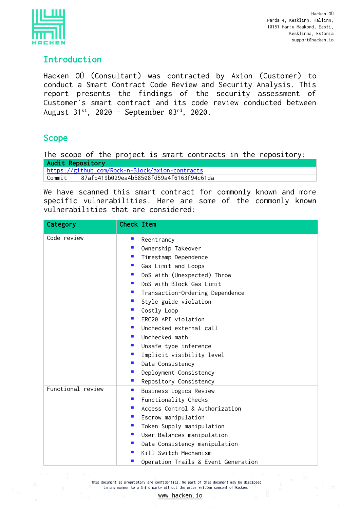

# <span id="page-3-0"></span>Introduction

Hacken OÜ (Consultant) was contracted by Axion (Customer) to conduct a Smart Contract Code Review and Security Analysis. This report presents the findings of the security assessment of Customer`s smart contract and its code review conducted between August 31st, 2020 – September 03 rd, 2020.

# <span id="page-3-1"></span>Scope

The scope of the project is smart contracts in the repository: Audit Repository https://github.com/Rock-n-Block/axion-contracts

Commit 87afb419b029ea4b58508fd59a4f6163f94c61da

We have scanned this smart contract for commonly known and more specific vulnerabilities. Here are some of the commonly known vulnerabilities that are considered:

| Category          | <b>Check Item</b>           |                                     |
|-------------------|-----------------------------|-------------------------------------|
| Code review       | $\blacksquare$              | Reentrancy                          |
|                   | $\mathcal{L}_{\mathcal{A}}$ | Ownership Takeover                  |
|                   |                             | <b>Timestamp Dependence</b>         |
|                   | <b>Contract</b>             | Gas Limit and Loops                 |
|                   | $\mathbf{r}$                | DoS with (Unexpected) Throw         |
|                   |                             | DoS with Block Gas Limit            |
|                   | $\mathcal{L}_{\mathcal{A}}$ | Transaction-Ordering Dependence     |
|                   | <b>Contract</b>             | Style guide violation               |
|                   |                             | ■ Costly Loop                       |
|                   |                             | ERC20 API violation                 |
|                   | $\blacksquare$              | Unchecked external call             |
|                   |                             | Unchecked math                      |
|                   |                             | Unsafe type inference               |
|                   | $\mathbf{r}$                | Implicit visibility level           |
|                   | <b>CONTRACTOR</b>           | Data Consistency                    |
|                   | $\mathcal{L}_{\mathcal{A}}$ | Deployment Consistency              |
|                   | <b>Contract</b>             | Repository Consistency              |
| Functional review | $\mathcal{L}_{\mathcal{A}}$ | Business Logics Review              |
|                   | $\mathcal{L}_{\mathcal{A}}$ | Functionality Checks                |
|                   | $\mathbf{r}$                | Access Control & Authorization      |
|                   | m.                          | Escrow manipulation                 |
|                   | $\blacksquare$              | Token Supply manipulation           |
|                   |                             | User Balances manipulation          |
|                   | $\mathcal{L}_{\mathcal{A}}$ | Data Consistency manipulation       |
|                   | $\mathcal{L}_{\mathcal{A}}$ | Kill-Switch Mechanism               |
|                   | $\blacksquare$              | Operation Trails & Event Generation |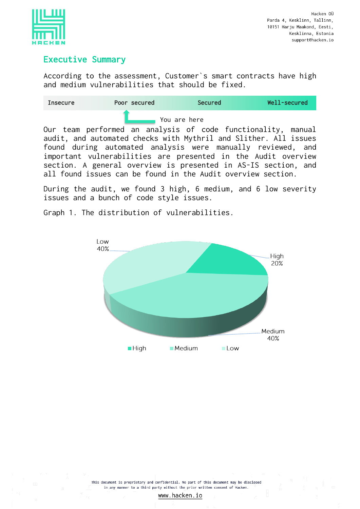

# <span id="page-4-0"></span>Executive Summary

According to the assessment, Customer`s smart contracts have high and medium vulnerabilities that should be fixed.

| <b>Insecure</b> | Poor secured                                                     | <b>Secured</b> | Well-secured |
|-----------------|------------------------------------------------------------------|----------------|--------------|
|                 |                                                                  | You are here   |              |
|                 | Our team performed an analysis of code functionality, manual     |                |              |
|                 | audit, and automated checks with Mythril and Slither. All issues |                |              |
|                 | found during automated analysis were manually reviewed, and      |                |              |
|                 | important vulnerabilities are presented in the Audit overview    |                |              |

section. A general overview is presented in AS-IS section, and all found issues can be found in the Audit overview section.

During the audit, we found 3 high, 6 medium, and 6 low severity issues and a bunch of code style issues.

Graph 1. The distribution of vulnerabilities.

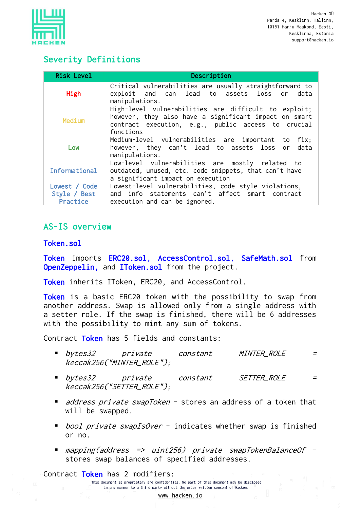

# <span id="page-5-0"></span>Severity Definitions

| <b>Risk Level</b>                         | Description                                                                                                                                                                      |
|-------------------------------------------|----------------------------------------------------------------------------------------------------------------------------------------------------------------------------------|
| High                                      | Critical vulnerabilities are usually straightforward to<br>exploit and can lead to assets loss or data<br>manipulations.                                                         |
| Medium                                    | High-level vulnerabilities are difficult to exploit;<br>however, they also have a significant impact on smart<br>contract execution, e.g., public access to crucial<br>functions |
| Low                                       | Medium-level vulnerabilities are important to fix;<br>however, they can't lead to assets loss or data<br>manipulations.                                                          |
| Informational                             | Low-level vulnerabilities are mostly related to<br>outdated, unused, etc. code snippets, that can't have<br>a significant impact on execution                                    |
| Lowest / Code<br>Style / Best<br>Practice | Lowest-level vulnerabilities, code style violations,<br>and info statements can't affect smart contract<br>execution and can be ignored.                                         |

# <span id="page-5-1"></span>AS-IS overview

#### Token.sol

Token imports ERC20.sol, AccessControl.sol, SafeMath.sol from OpenZeppelin, and IToken.sol from the project.

Token inherits IToken, ERC20, and AccessControl.

Token is a basic ERC20 token with the possibility to swap from another address. Swap is allowed only from a single address with a setter role. If the swap is finished, there will be 6 addresses with the possibility to mint any sum of tokens.

Contract Token has 5 fields and constants:

- bytes32 private constant MINTER\_ROLE = keccak256("MINTER\_ROLE");
- bytes32 private constant SETTER\_ROLE = keccak256("SETTER\_ROLE");
- *address private swapToken* stores an address of a token that will be swapped.
- *bool private swapIsOver* indicates whether swap is finished or no.
- mapping(address => uint256) private swapTokenBalanceOf stores swap balances of specified addresses.

Contract Token has 2 modifiers: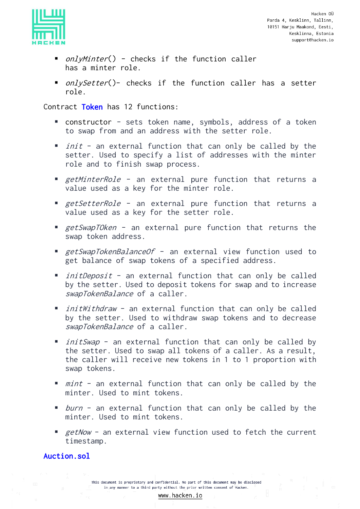

- *onlyMinter*() checks if the function caller has a minter role.
- *onlySetter*()- checks if the function caller has a setter role.

Contract Token has 12 functions:

- constructor sets token name, symbols, address of a token to swap from and an address with the setter role.
- $\blacksquare$  *init* an external function that can only be called by the setter. Used to specify a list of addresses with the minter role and to finish swap process.
- getMinterRole an external pure function that returns a value used as a key for the minter role.
- *getSetterRole* an external pure function that returns a value used as a key for the setter role.
- getSwapTOken an external pure function that returns the swap token address.
- *getSwapTokenBalanceOf* an external view function used to get balance of swap tokens of a specified address.
- *initDeposit* an external function that can only be called by the setter. Used to deposit tokens for swap and to increase swapTokenBalance of a caller.
- *initWithdraw* an external function that can only be called by the setter. Used to withdraw swap tokens and to decrease swapTokenBalance of a caller.
- *initSwap* an external function that can only be called by the setter. Used to swap all tokens of a caller. As a result, the caller will receive new tokens in 1 to 1 proportion with swap tokens.
- *mint* an external function that can only be called by the minter. Used to mint tokens.
- *burn* an external function that can only be called by the minter. Used to mint tokens.
- $e$  getNow an external view function used to fetch the current timestamp.

## Auction.sol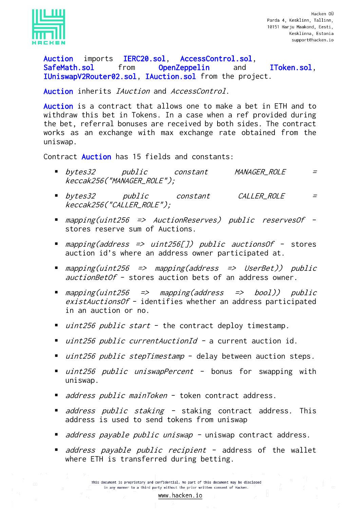

Auction imports IERC20.sol, AccessControl.sol, SafeMath.sol from OpenZeppelin and IToken.sol, IUniswapV2Router02.sol, IAuction.sol from the project.

Auction inherits *IAuction* and *AccessControl*.

Auction is a contract that allows one to make a bet in ETH and to withdraw this bet in Tokens. In a case when a ref provided during the bet, referral bonuses are received by both sides. The contract works as an exchange with max exchange rate obtained from the uniswap.

Contract Auction has 15 fields and constants:

- bytes32 public constant MANAGER\_ROLE = keccak256("MANAGER\_ROLE");
- bytes32 public constant CALLER\_ROLE = keccak256("CALLER\_ROLE");
- mapping(uint256 => AuctionReserves) public reservesOf stores reserve sum of Auctions.
- *mapping(address => uint256[]) public auctionsOf* stores auction id's where an address owner participated at.
- mapping(uint256 => mapping(address => UserBet)) public auctionBetOf - stores auction bets of an address owner.
- mapping(uint256 => mapping(address => bool)) public existAuctionsOf - identifies whether an address participated in an auction or no.
- *uint256 public start* the contract deploy timestamp.
- *uint256 public currentAuctionId -* a current auction id.
- $uint256$  public stepTimestamp delay between auction steps.
- *uint256 public uniswapPercent* bonus for swapping with uniswap.
- *address public mainToken* token contract address.
- *address public staking -* staking contract address. This address is used to send tokens from uniswap
- *address payable public uniswap -* uniswap contract address.
- *address payable public recipient* address of the wallet where ETH is transferred during betting.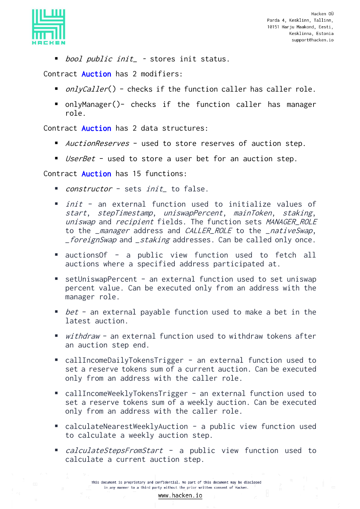

■ *bool public init*\_ - stores init status.

Contract **Auction** has 2 modifiers:

- *onlvCaller*() checks if the function caller has caller role.
- onlyManager()- checks if the function caller has manager role.

Contract **Auction** has 2 data structures:

- *AuctionReserves* used to store reserves of auction step.
- *UserBet* used to store a user bet for an auction step.

Contract Auction has 15 functions:

- *constructor* sets *init*\_ to false.
- *init* an external function used to initialize values of start, stepTimestamp, uniswapPercent, mainToken, staking, uniswap and recipient fields. The function sets MANAGER ROLE to the \_manager address and CALLER\_ROLE to the \_nativeSwap, *\_foreignSwap* and *\_staking* addresses. Can be called only once.
- auctionsOf a public view function used to fetch all auctions where a specified address participated at.
- setUniswapPercent an external function used to set uniswap percent value. Can be executed only from an address with the manager role.
- $\bullet$  bet an external payable function used to make a bet in the latest auction.
- withdraw an external function used to withdraw tokens after an auction step end.
- callIncomeDailyTokensTrigger an external function used to set a reserve tokens sum of a current auction. Can be executed only from an address with the caller role.
- callIncomeWeeklyTokensTrigger an external function used to set a reserve tokens sum of a weekly auction. Can be executed only from an address with the caller role.
- calculateNearestWeeklyAuction a public view function used to calculate a weekly auction step.
- *calculateStepsFromStart* a public view function used to calculate a current auction step.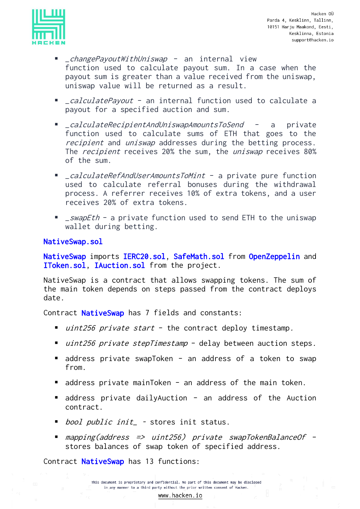

- *\_changePayoutWithUniswap* an internal view function used to calculate payout sum. In a case when the payout sum is greater than a value received from the uniswap, uniswap value will be returned as a result.
- *\_calculatePayout* an internal function used to calculate a payout for a specified auction and sum.
- calculateRecipientAndUniswapAmountsToSend a private function used to calculate sums of ETH that goes to the recipient and uniswap addresses during the betting process. The *recipient* receives 20% the sum, the *uniswap* receives 80% of the sum.
- *\_calculateRefAndUserAmountsToMint* a private pure function used to calculate referral bonuses during the withdrawal process. A referrer receives 10% of extra tokens, and a user receives 20% of extra tokens.
- \_swapEth a private function used to send ETH to the uniswap wallet during betting.

#### NativeSwap.sol

NativeSwap imports IERC20.sol, SafeMath.sol from OpenZeppelin and IToken.sol, IAuction.sol from the project.

NativeSwap is a contract that allows swapping tokens. The sum of the main token depends on steps passed from the contract deploys date.

Contract **NativeSwap** has 7 fields and constants:

- *uint256 private start* the contract deploy timestamp.
- *uint256 private stepTimestamp* delay between auction steps.
- address private swapToken an address of a token to swap from.
- address private mainToken an address of the main token.
- address private dailyAuction an address of the Auction contract.
- *bool public init\_* stores init status.
- mapping(address => uint256) private swapTokenBalanceOf stores balances of swap token of specified address.

Contract **NativeSwap** has 13 functions: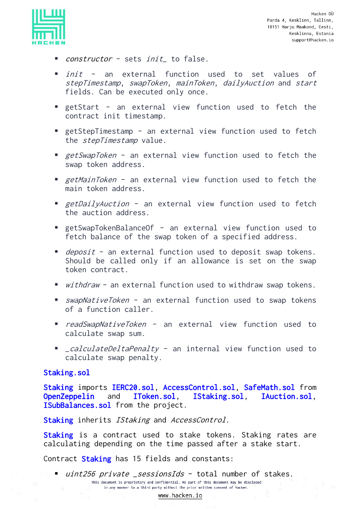

- $constructor$  sets  $init$  to false.
- *init* an external function used to set values of stepTimestamp, swapToken, mainToken, dailyAuction and start fields. Can be executed only once.
- getStart an external view function used to fetch the contract init timestamp.
- getStepTimestamp an external view function used to fetch the *stepTimestamp* value.
- *getSwapToken* an external view function used to fetch the swap token address.
- getMainToken an external view function used to fetch the main token address.
- *getDailyAuction* an external view function used to fetch the auction address.
- getSwapTokenBalanceOf an external view function used to fetch balance of the swap token of a specified address.
- *deposit* an external function used to deposit swap tokens. Should be called only if an allowance is set on the swap token contract.
- withdraw an external function used to withdraw swap tokens.
- *swapNativeToken* an external function used to swap tokens of a function caller.
- *readSwapNativeToken* an external view function used to calculate swap sum.
- *\_calculateDeltaPenalty* an internal view function used to calculate swap penalty.

#### Staking.sol

Staking imports IERC20.sol, AccessControl.sol, SafeMath.sol from OpenZeppelin and IToken.sol, IStaking.sol, IAuction.sol, ISubBalances.sol from the project.

Staking inherits IStaking and AccessControl.

Staking is a contract used to stake tokens. Staking rates are calculating depending on the time passed after a stake start.

Contract Staking has 15 fields and constants:

■ *uint256 private \_sessionsIds* - total number of stakes. This document is proprietary and confidential. No part of this document may be disclosed in any manner to a third party without the prior written consent of Hacken.

www.hacken.io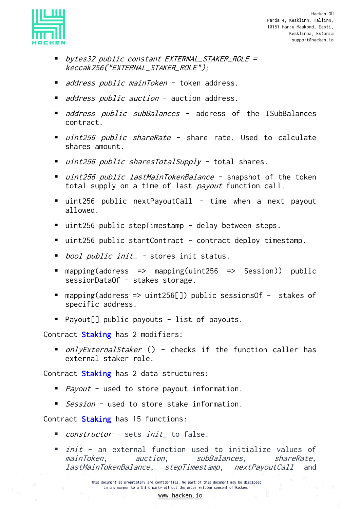

- bytes32 public constant EXTERNAL\_STAKER\_ROLE = keccak256("EXTERNAL\_STAKER\_ROLE");
- *address public mainToken* token address.
- *address public auction* auction address.
- *address public subBalances* address of the ISubBalances contract.
- *uint256 public shareRate -* share rate. Used to calculate shares amount.
- *uint256 public sharesTotalSupply* total shares.
- *uint256 public lastMainTokenBalance* snapshot of the token total supply on a time of last payout function call.
- uint256 public nextPayoutCall time when a next payout allowed.
- uint256 public stepTimestamp delay between steps.
- uint256 public startContract contract deploy timestamp.
- *bool public init*\_ stores init status.
- mapping(address => mapping(uint256 => Session)) public sessionDataOf – stakes storage.
- mapping(address => uint256[]) public sessionsOf stakes of specific address.
- Payout[] public payouts list of payouts.

Contract Staking has 2 modifiers:

■ *onlyExternalStaker* () - checks if the function caller has external staker role.

Contract **Staking** has 2 data structures:

- *Payout* used to store payout information.
- *Session* used to store stake information.

Contract Staking has 15 functions:

- *constructor* sets *init*\_ to false.
- *init* an external function used to initialize values of mainToken, auction, subBalances, shareRate, lastMainTokenBalance, stepTimestamp, nextPayoutCall and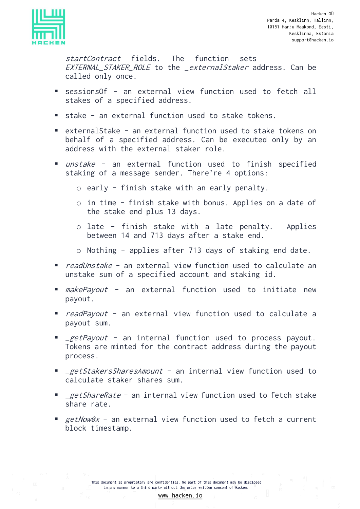

startContract fields. The function sets EXTERNAL\_STAKER\_ROLE to the \_externalStaker address. Can be called only once.

- sessionsOf an external view function used to fetch all stakes of a specified address.
- stake an external function used to stake tokens.
- externalStake an external function used to stake tokens on behalf of a specified address. Can be executed only by an address with the external staker role.
- *unstake* an external function used to finish specified staking of a message sender. There're 4 options:
	- o early finish stake with an early penalty.
	- o in time finish stake with bonus. Applies on a date of the stake end plus 13 days.
	- o late finish stake with a late penalty. Applies between 14 and 713 days after a stake end.
	- o Nothing applies after 713 days of staking end date.
- *readUnstake* an external view function used to calculate an unstake sum of a specified account and staking id.
- *makePayout* an external function used to initiate new payout.
- *readPayout* an external view function used to calculate a payout sum.
- **•** *\_getPayout* an internal function used to process payout. Tokens are minted for the contract address during the payout process.
- **E** \_getStakersSharesAmount an internal view function used to calculate staker shares sum.
- *\_getShareRate* an internal view function used to fetch stake share rate.
- **E** getNow0x an external view function used to fetch a current block timestamp.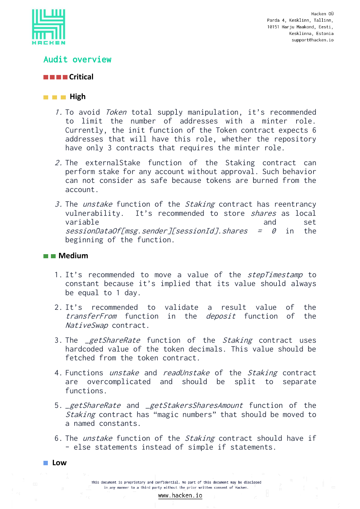

## <span id="page-13-0"></span>Audit overview

## **Critical**

#### **High High**

- 1. To avoid Token total supply manipulation, it's recommended to limit the number of addresses with a minter role. Currently, the init function of the Token contract expects 6 addresses that will have this role, whether the repository have only 3 contracts that requires the minter role.
- 2. The externalStake function of the Staking contract can perform stake for any account without approval. Such behavior can not consider as safe because tokens are burned from the account.
- 3. The unstake function of the Staking contract has reentrancy vulnerability. It's recommended to store *shares* as local variable and set  $sessionDataOf[msg.sender][sessionId]. shares = 0 in the$ beginning of the function.

#### **Medium**

- 1. It's recommended to move a value of the *stepTimestamp* to constant because it's implied that its value should always be equal to 1 day.
- 2. It's recommended to validate a result value of the transferFrom function in the deposit function of the NativeSwap contract.
- 3. The *\_getShareRate* function of the *Staking* contract uses hardcoded value of the token decimals. This value should be fetched from the token contract.
- 4. Functions *unstake* and *readUnstake* of the *Staking* contract are overcomplicated and should be split to separate functions.
- 5. *\_getShareRate* and *\_getStakersSharesAmount* function of the Staking contract has "magic numbers" that should be moved to a named constants.
- 6. The *unstake* function of the *Staking* contract should have if – else statements instead of simple if statements.

**Low**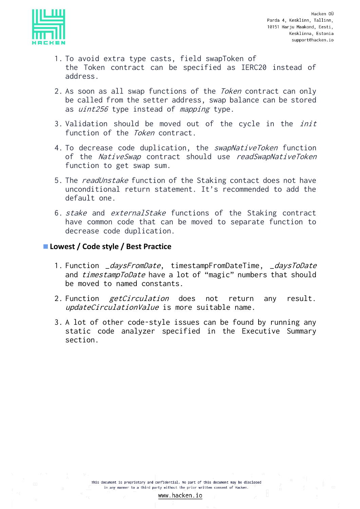

- 1. To avoid extra type casts, field swapToken of the Token contract can be specified as IERC20 instead of address.
- 2. As soon as all swap functions of the Token contract can only be called from the setter address, swap balance can be stored as *uint256* type instead of *mapping* type.
- 3. Validation should be moved out of the cycle in the *init* function of the *Token* contract.
- 4. To decrease code duplication, the swapNativeToken function of the NativeSwap contract should use readSwapNativeToken function to get swap sum.
- 5. The readUnstake function of the Staking contact does not have unconditional return statement. It's recommended to add the default one.
- 6. stake and externalStake functions of the Staking contract have common code that can be moved to separate function to decrease code duplication.

## **Lowest / Code style / Best Practice**

- 1. Function \_daysFromDate, timestampFromDateTime, \_daysToDate and *timestampToDate* have a lot of "magic" numbers that should be moved to named constants.
- 2. Function *getCirculation* does not return any result. updateCirculationValue is more suitable name.
- 3. A lot of other code-style issues can be found by running any static code analyzer specified in the Executive Summary section.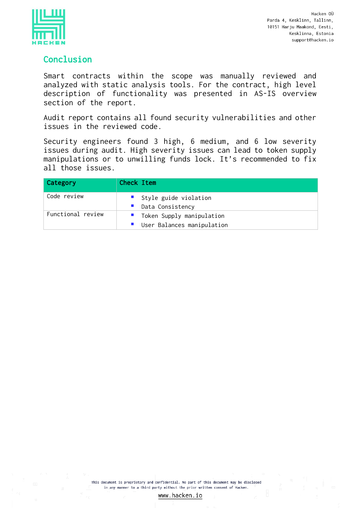

## <span id="page-15-0"></span>Conclusion

Smart contracts within the scope was manually reviewed and analyzed with static analysis tools. For the contract, high level description of functionality was presented in AS-IS overview section of the report.

Audit report contains all found security vulnerabilities and other issues in the reviewed code.

Security engineers found 3 high, 6 medium, and 6 low severity issues during audit. High severity issues can lead to token supply manipulations or to unwilling funds lock. It's recommended to fix all those issues.

| Category          | Check Item                                                |
|-------------------|-----------------------------------------------------------|
| Code review       | Style guide violation<br>Data Consistency                 |
| Functional review | " Token Supply manipulation<br>User Balances manipulation |